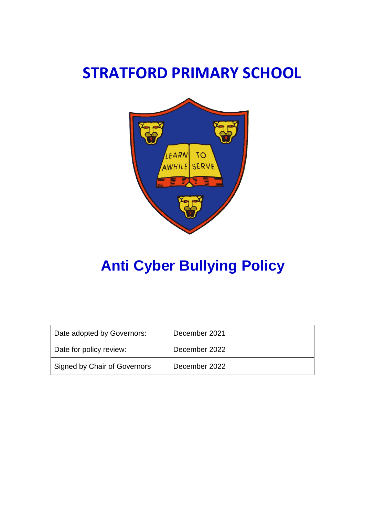## **STRATFORD PRIMARY SCHOOL**



# **Anti Cyber Bullying Policy**

| Date adopted by Governors:   | December 2021 |
|------------------------------|---------------|
| Date for policy review:      | December 2022 |
| Signed by Chair of Governors | December 2022 |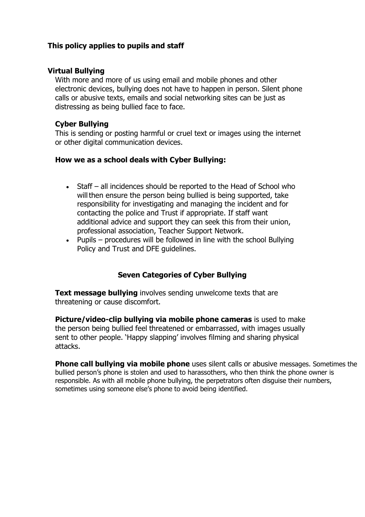## **This policy applies to pupils and staff**

#### **Virtual Bullying**

With more and more of us using email and mobile phones and other electronic devices, bullying does not have to happen in person. Silent phone calls or abusive texts, emails and social networking sites can be just as distressing as being bullied face to face.

#### **Cyber Bullying**

This is sending or posting harmful or cruel text or images using the internet or other digital communication devices.

#### **How we as a school deals with Cyber Bullying:**

- Staff all incidences should be reported to the Head of School who will then ensure the person being bullied is being supported, take responsibility for investigating and managing the incident and for contacting the police and Trust if appropriate. If staff want additional advice and support they can seek this from their union, professional association, Teacher Support Network.
- Pupils procedures will be followed in line with the school Bullying Policy and Trust and DFE guidelines.

#### **Seven Categories of Cyber Bullying**

**Text message bullying** involves sending unwelcome texts that are threatening or cause discomfort.

**Picture/video-clip bullying via mobile phone cameras** is used to make the person being bullied feel threatened or embarrassed, with images usually sent to other people. 'Happy slapping' involves filming and sharing physical attacks.

**Phone call bullying via mobile phone** uses silent calls or abusive messages. Sometimes the bullied person's phone is stolen and used to harassothers, who then think the phone owner is responsible. As with all mobile phone bullying, the perpetrators often disguise their numbers, sometimes using someone else's phone to avoid being identified.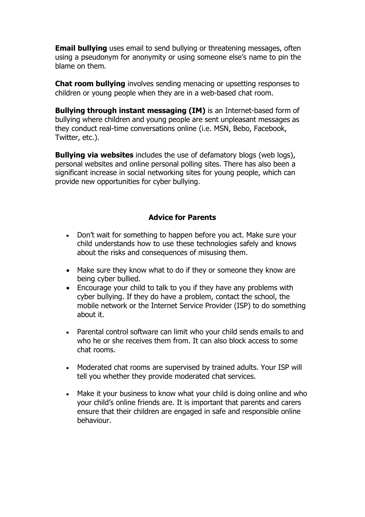**Email bullying** uses email to send bullying or threatening messages, often using a pseudonym for anonymity or using someone else's name to pin the blame on them.

**Chat room bullying** involves sending menacing or upsetting responses to children or young people when they are in a web-based chat room.

**Bullying through instant messaging (IM)** is an Internet-based form of bullying where children and young people are sent unpleasant messages as they conduct real-time conversations online (i.e. MSN, Bebo, Facebook, Twitter, etc.).

**Bullying via websites** includes the use of defamatory blogs (web logs), personal websites and online personal polling sites. There has also been a significant increase in social networking sites for young people, which can provide new opportunities for cyber bullying.

#### **Advice for Parents**

- Don't wait for something to happen before you act. Make sure your child understands how to use these technologies safely and knows about the risks and consequences of misusing them.
- Make sure they know what to do if they or someone they know are being cyber bullied.
- Encourage your child to talk to you if they have any problems with cyber bullying. If they do have a problem, contact the school, the mobile network or the Internet Service Provider (ISP) to do something about it.
- Parental control software can limit who your child sends emails to and who he or she receives them from. It can also block access to some chat rooms.
- Moderated chat rooms are supervised by trained adults. Your ISP will tell you whether they provide moderated chat services.
- Make it your business to know what your child is doing online and who your child's online friends are. It is important that parents and carers ensure that their children are engaged in safe and responsible online behaviour.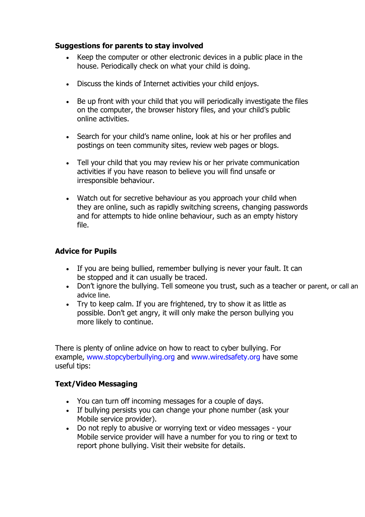## **Suggestions for parents to stay involved**

- Keep the computer or other electronic devices in a public place in the house. Periodically check on what your child is doing.
- Discuss the kinds of Internet activities your child enjoys.
- Be up front with your child that you will periodically investigate the files on the computer, the browser history files, and your child's public online activities.
- Search for your child's name online, look at his or her profiles and postings on teen community sites, review web pages or blogs.
- Tell your child that you may review his or her private communication activities if you have reason to believe you will find unsafe or irresponsible behaviour.
- Watch out for secretive behaviour as you approach your child when they are online, such as rapidly switching screens, changing passwords and for attempts to hide online behaviour, such as an empty history file.

### **Advice for Pupils**

- If you are being bullied, remember bullying is never your fault. It can be stopped and it can usually be traced.
- Don't ignore the bullying. Tell someone you trust, such as a teacher or parent, or call an advice line.
- Try to keep calm. If you are frightened, try to show it as little as possible. Don't get angry, it will only make the person bullying you more likely to continue.

There is plenty of online advice on how to react to cyber bullying. For example, [www.stopcyberbullying.org a](http://www.stopcyberbullying.org/)nd [www.wiredsafety.org h](http://www.wiredsafety.org/)ave some useful tips:

## **Text/Video Messaging**

- You can turn off incoming messages for a couple of days.
- If bullying persists you can change your phone number (ask your Mobile service provider).
- Do not reply to abusive or worrying text or video messages your Mobile service provider will have a number for you to ring or text to report phone bullying. Visit their website for details.